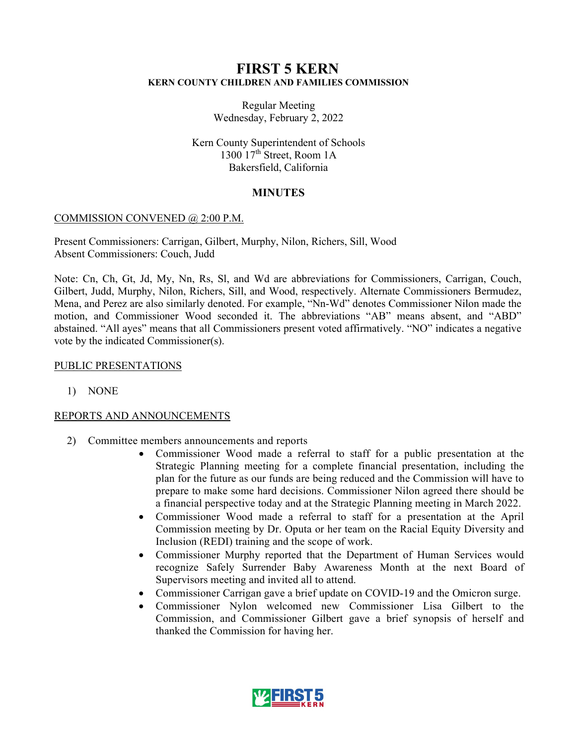# **FIRST 5 KERN KERN COUNTY CHILDREN AND FAMILIES COMMISSION**

Regular Meeting Wednesday, February 2, 2022

Kern County Superintendent of Schools 1300  $17<sup>th</sup>$  Street, Room 1A Bakersfield, California

# **MINUTES**

### COMMISSION CONVENED @ 2:00 P.M.

Present Commissioners: Carrigan, Gilbert, Murphy, Nilon, Richers, Sill, Wood Absent Commissioners: Couch, Judd

Note: Cn, Ch, Gt, Jd, My, Nn, Rs, Sl, and Wd are abbreviations for Commissioners, Carrigan, Couch, Gilbert, Judd, Murphy, Nilon, Richers, Sill, and Wood, respectively. Alternate Commissioners Bermudez, Mena, and Perez are also similarly denoted. For example, "Nn-Wd" denotes Commissioner Nilon made the motion, and Commissioner Wood seconded it. The abbreviations "AB" means absent, and "ABD" abstained. "All ayes" means that all Commissioners present voted affirmatively. "NO" indicates a negative vote by the indicated Commissioner(s).

### PUBLIC PRESENTATIONS

1) NONE

## REPORTS AND ANNOUNCEMENTS

- 2) Committee members announcements and reports
	- Commissioner Wood made a referral to staff for a public presentation at the Strategic Planning meeting for a complete financial presentation, including the plan for the future as our funds are being reduced and the Commission will have to prepare to make some hard decisions. Commissioner Nilon agreed there should be a financial perspective today and at the Strategic Planning meeting in March 2022.
	- Commissioner Wood made a referral to staff for a presentation at the April Commission meeting by Dr. Oputa or her team on the Racial Equity Diversity and Inclusion (REDI) training and the scope of work.
	- Commissioner Murphy reported that the Department of Human Services would recognize Safely Surrender Baby Awareness Month at the next Board of Supervisors meeting and invited all to attend.
	- Commissioner Carrigan gave a brief update on COVID-19 and the Omicron surge.
	- Commissioner Nylon welcomed new Commissioner Lisa Gilbert to the Commission, and Commissioner Gilbert gave a brief synopsis of herself and thanked the Commission for having her.

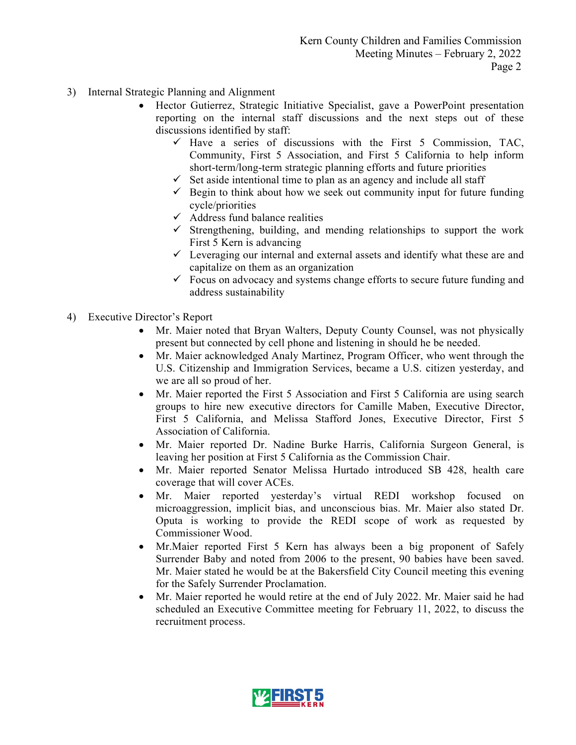- 3) Internal Strategic Planning and Alignment
	- Hector Gutierrez, Strategic Initiative Specialist, gave a PowerPoint presentation reporting on the internal staff discussions and the next steps out of these discussions identified by staff:
		- $\checkmark$  Have a series of discussions with the First 5 Commission, TAC, Community, First 5 Association, and First 5 California to help inform short-term/long-term strategic planning efforts and future priorities
		- $\checkmark$  Set aside intentional time to plan as an agency and include all staff
		- $\checkmark$  Begin to think about how we seek out community input for future funding cycle/priorities
		- $\checkmark$  Address fund balance realities
		- $\checkmark$  Strengthening, building, and mending relationships to support the work First 5 Kern is advancing
		- $\checkmark$  Leveraging our internal and external assets and identify what these are and capitalize on them as an organization
		- $\checkmark$  Focus on advocacy and systems change efforts to secure future funding and address sustainability
- 4) Executive Director's Report
	- Mr. Maier noted that Bryan Walters, Deputy County Counsel, was not physically present but connected by cell phone and listening in should he be needed.
	- Mr. Maier acknowledged Analy Martinez, Program Officer, who went through the U.S. Citizenship and Immigration Services, became a U.S. citizen yesterday, and we are all so proud of her.
	- Mr. Maier reported the First 5 Association and First 5 California are using search groups to hire new executive directors for Camille Maben, Executive Director, First 5 California, and Melissa Stafford Jones, Executive Director, First 5 Association of California.
	- Mr. Maier reported Dr. Nadine Burke Harris, California Surgeon General, is leaving her position at First 5 California as the Commission Chair.
	- Mr. Maier reported Senator Melissa Hurtado introduced SB 428, health care coverage that will cover ACEs.
	- Mr. Maier reported yesterday's virtual REDI workshop focused on microaggression, implicit bias, and unconscious bias. Mr. Maier also stated Dr. Oputa is working to provide the REDI scope of work as requested by Commissioner Wood.
	- Mr.Maier reported First 5 Kern has always been a big proponent of Safely Surrender Baby and noted from 2006 to the present, 90 babies have been saved. Mr. Maier stated he would be at the Bakersfield City Council meeting this evening for the Safely Surrender Proclamation.
	- Mr. Maier reported he would retire at the end of July 2022. Mr. Maier said he had scheduled an Executive Committee meeting for February 11, 2022, to discuss the recruitment process.

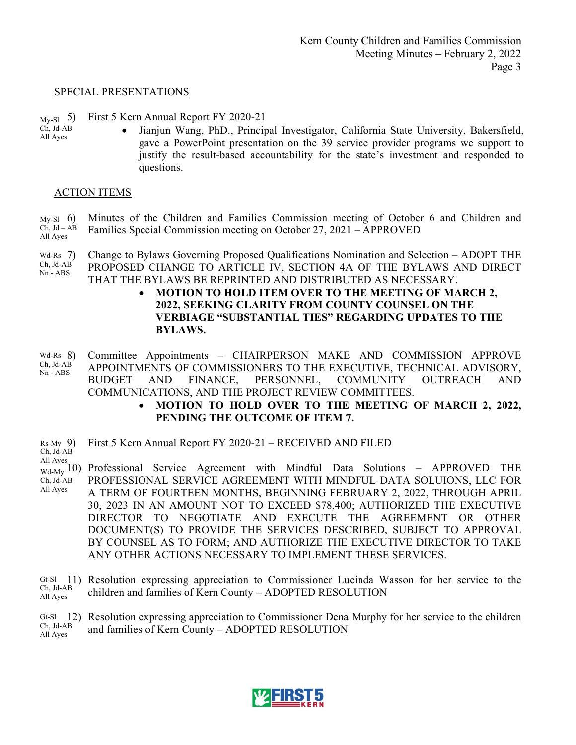#### SPECIAL PRESENTATIONS

- My-Sl My-Sl 5) First 5 Kern Annual Report FY 2020-21
- Ch, Jd-AB Ch, Jd-AB All Ayes All Ayes
- Jianjun Wang, PhD., Principal Investigator, California State University, Bakersfield, gave a PowerPoint presentation on the 39 service provider programs we support to justify the result-based accountability for the state's investment and responded to questions.

### ACTION ITEMS

 $My-S1$  6) Ch, Jd – AB Minutes of the Children and Families Commission meeting of October 6 and Children and

- All Ayes Families Special Commission meeting on October 27, 2021 – APPROVED
- Wd-Rs  $7)$ Ch, Jd-AB Nn - ABS 7) Change to Bylaws Governing Proposed Qualifications Nomination and Selection – ADOPT THE PROPOSED CHANGE TO ARTICLE IV, SECTION 4A OF THE BYLAWS AND DIRECT THAT THE BYLAWS BE REPRINTED AND DISTRIBUTED AS NECESSARY.
	- **MOTION TO HOLD ITEM OVER TO THE MEETING OF MARCH 2, 2022, SEEKING CLARITY FROM COUNTY COUNSEL ON THE VERBIAGE "SUBSTANTIAL TIES" REGARDING UPDATES TO THE BYLAWS.**
- $Wd-Rs$   $8)$ Ch, Jd-AB Nn - ABS 8) Committee Appointments – CHAIRPERSON MAKE AND COMMISSION APPROVE APPOINTMENTS OF COMMISSIONERS TO THE EXECUTIVE, TECHNICAL ADVISORY, BUDGET AND FINANCE, PERSONNEL, COMMUNITY OUTREACH AND COMMUNICATIONS, AND THE PROJECT REVIEW COMMITTEES.
	- **MOTION TO HOLD OVER TO THE MEETING OF MARCH 2, 2022, PENDING THE OUTCOME OF ITEM 7.**
- $Rs-My$  9) Ch, Jd-AB 9) First 5 Kern Annual Report FY 2020-21 – RECEIVED AND FILED
- All Ayes
- <sub>Wd-My</sub> 10) Professional Service Agreement with Mindful Data Solutions APPROVED THE Ch, Jd-AB All Ayes PROFESSIONAL SERVICE AGREEMENT WITH MINDFUL DATA SOLUIONS, LLC FOR A TERM OF FOURTEEN MONTHS, BEGINNING FEBRUARY 2, 2022, THROUGH APRIL 30, 2023 IN AN AMOUNT NOT TO EXCEED \$78,400; AUTHORIZED THE EXECUTIVE DIRECTOR TO NEGOTIATE AND EXECUTE THE AGREEMENT OR OTHER DOCUMENT(S) TO PROVIDE THE SERVICES DESCRIBED, SUBJECT TO APPROVAL BY COUNSEL AS TO FORM; AND AUTHORIZE THE EXECUTIVE DIRECTOR TO TAKE ANY OTHER ACTIONS NECESSARY TO IMPLEMENT THESE SERVICES.
- Gt-Sl 11) Resolution expressing appreciation to Commissioner Lucinda Wasson for her service to the Ch, Jd-AB All Ayes children and families of Kern County – ADOPTED RESOLUTION



Gt-Sl 12) Resolution expressing appreciation to Commissioner Dena Murphy for her service to the children Ch, Jd-AB All Ayes and families of Kern County – ADOPTED RESOLUTION